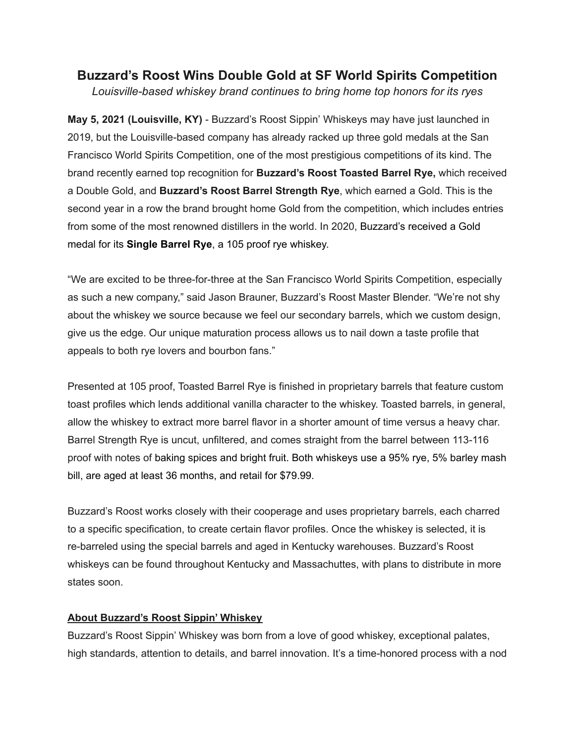## **Buzzard's Roost Wins Double Gold at SF World Spirits Competition**

*Louisville-based whiskey brand continues to bring home top honors for its ryes*

**May 5, 2021 (Louisville, KY)** - Buzzard's Roost Sippin' Whiskeys may have just launched in 2019, but the Louisville-based company has already racked up three gold medals at the San Francisco World Spirits Competition, one of the most prestigious competitions of its kind. The brand recently earned top recognition for **Buzzard's Roost Toasted Barrel Rye,** which received a Double Gold, and **Buzzard's Roost Barrel Strength Rye**, which earned a Gold. This is the second year in a row the brand brought home Gold from the competition, which includes entries from some of the most renowned distillers in the world. In 2020, Buzzard's received a Gold medal for its **Single Barrel Rye**, a 105 proof rye whiskey.

"We are excited to be three-for-three at the San Francisco World Spirits Competition, especially as such a new company," said Jason Brauner, Buzzard's Roost Master Blender. "We're not shy about the whiskey we source because we feel our secondary barrels, which we custom design, give us the edge. Our unique maturation process allows us to nail down a taste profile that appeals to both rye lovers and bourbon fans."

Presented at 105 proof, Toasted Barrel Rye is finished in proprietary barrels that feature custom toast profiles which lends additional vanilla character to the whiskey. Toasted barrels, in general, allow the whiskey to extract more barrel flavor in a shorter amount of time versus a heavy char. Barrel Strength Rye is uncut, unfiltered, and comes straight from the barrel between 113-116 proof with notes of baking spices and bright fruit. Both whiskeys use a 95% rye, 5% barley mash bill, are aged at least 36 months, and retail for \$79.99.

Buzzard's Roost works closely with their cooperage and uses proprietary barrels, each charred to a specific specification, to create certain flavor profiles. Once the whiskey is selected, it is re-barreled using the special barrels and aged in Kentucky warehouses. Buzzard's Roost whiskeys can be found throughout Kentucky and Massachuttes, with plans to distribute in more states soon.

## **About Buzzard's Roost Sippin' Whiskey**

Buzzard's Roost Sippin' Whiskey was born from a love of good whiskey, exceptional palates, high standards, attention to details, and barrel innovation. It's a time-honored process with a nod